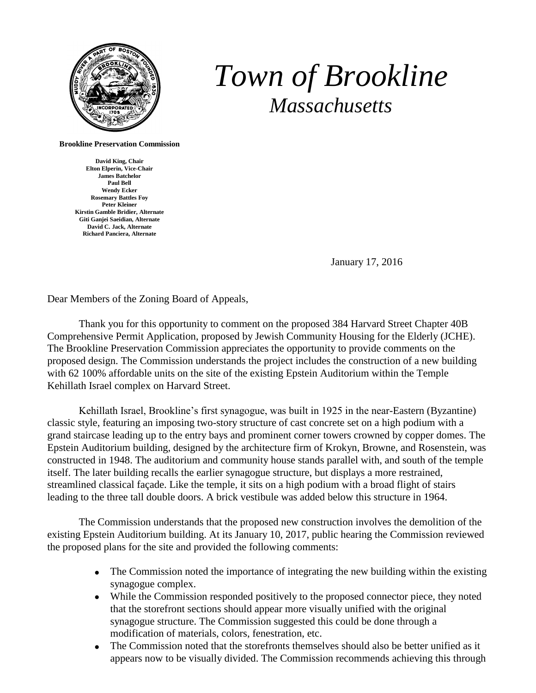

## *Town of Brookline Massachusetts*

**Brookline Preservation Commission**

**David King, Chair Elton Elperin, Vice-Chair James Batchelor Paul Bell Wendy Ecker Rosemary Battles Foy Peter Kleiner Kirstin Gamble Bridier, Alternate Giti Ganjei Saeidian, Alternate David C. Jack, Alternate Richard Panciera, Alternate**

January 17, 2016

Dear Members of the Zoning Board of Appeals,

Thank you for this opportunity to comment on the proposed 384 Harvard Street Chapter 40B Comprehensive Permit Application, proposed by Jewish Community Housing for the Elderly (JCHE). The Brookline Preservation Commission appreciates the opportunity to provide comments on the proposed design. The Commission understands the project includes the construction of a new building with 62 100% affordable units on the site of the existing Epstein Auditorium within the Temple Kehillath Israel complex on Harvard Street.

Kehillath Israel, Brookline's first synagogue, was built in 1925 in the near-Eastern (Byzantine) classic style, featuring an imposing two-story structure of cast concrete set on a high podium with a grand staircase leading up to the entry bays and prominent corner towers crowned by copper domes. The Epstein Auditorium building, designed by the architecture firm of Krokyn, Browne, and Rosenstein, was constructed in 1948. The auditorium and community house stands parallel with, and south of the temple itself. The later building recalls the earlier synagogue structure, but displays a more restrained, streamlined classical façade. Like the temple, it sits on a high podium with a broad flight of stairs leading to the three tall double doors. A brick vestibule was added below this structure in 1964.

The Commission understands that the proposed new construction involves the demolition of the existing Epstein Auditorium building. At its January 10, 2017, public hearing the Commission reviewed the proposed plans for the site and provided the following comments:

- The Commission noted the importance of integrating the new building within the existing synagogue complex.
- While the Commission responded positively to the proposed connector piece, they noted that the storefront sections should appear more visually unified with the original synagogue structure. The Commission suggested this could be done through a modification of materials, colors, fenestration, etc.
- The Commission noted that the storefronts themselves should also be better unified as it appears now to be visually divided. The Commission recommends achieving this through